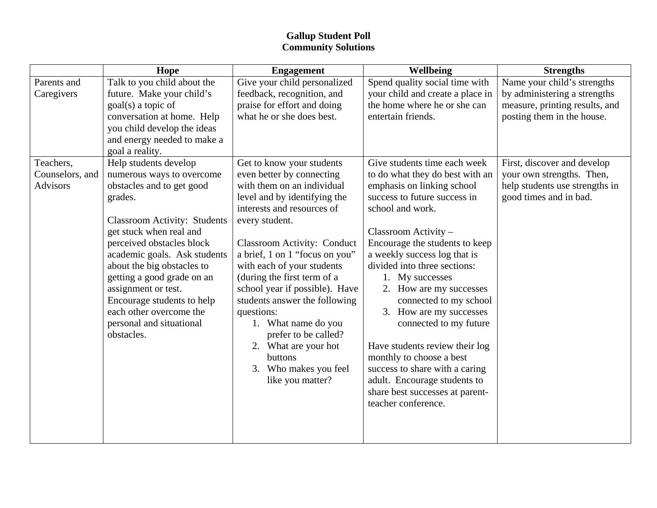## **Gallup Student Poll Community Solutions**

|                 | Hope                                | <b>Engagement</b>                            | <b>Wellbeing</b>                                               | <b>Strengths</b>               |
|-----------------|-------------------------------------|----------------------------------------------|----------------------------------------------------------------|--------------------------------|
| Parents and     | Talk to you child about the         | Give your child personalized                 | Spend quality social time with                                 | Name your child's strengths    |
| Caregivers      | future. Make your child's           | feedback, recognition, and                   | your child and create a place in                               | by administering a strengths   |
|                 | goal(s) a topic of                  | praise for effort and doing                  | the home where he or she can                                   | measure, printing results, and |
|                 | conversation at home. Help          | what he or she does best.                    | entertain friends.                                             | posting them in the house.     |
|                 | you child develop the ideas         |                                              |                                                                |                                |
|                 | and energy needed to make a         |                                              |                                                                |                                |
|                 | goal a reality.                     |                                              |                                                                |                                |
| Teachers,       | Help students develop               | Get to know your students                    | Give students time each week                                   | First, discover and develop    |
| Counselors, and | numerous ways to overcome           | even better by connecting                    | to do what they do best with an                                | your own strengths. Then,      |
| <b>Advisors</b> | obstacles and to get good           | with them on an individual                   | emphasis on linking school                                     | help students use strengths in |
|                 | grades.                             | level and by identifying the                 | success to future success in                                   | good times and in bad.         |
|                 |                                     | interests and resources of                   | school and work.                                               |                                |
|                 | <b>Classroom Activity: Students</b> | every student.                               |                                                                |                                |
|                 | get stuck when real and             |                                              | Classroom Activity -                                           |                                |
|                 | perceived obstacles block           | <b>Classroom Activity: Conduct</b>           | Encourage the students to keep                                 |                                |
|                 | academic goals. Ask students        | a brief, 1 on 1 "focus on you"               | a weekly success log that is                                   |                                |
|                 | about the big obstacles to          | with each of your students                   | divided into three sections:                                   |                                |
|                 | getting a good grade on an          | (during the first term of a                  | 1. My successes                                                |                                |
|                 | assignment or test.                 | school year if possible). Have               | 2. How are my successes                                        |                                |
|                 | Encourage students to help          | students answer the following                | connected to my school                                         |                                |
|                 | each other overcome the             | questions:                                   | 3. How are my successes                                        |                                |
|                 | personal and situational            | 1. What name do you                          | connected to my future                                         |                                |
|                 | obstacles.                          | prefer to be called?                         |                                                                |                                |
|                 |                                     | 2. What are your hot                         | Have students review their log                                 |                                |
|                 |                                     | buttons                                      | monthly to choose a best                                       |                                |
|                 |                                     | Who makes you feel<br>3.<br>like you matter? | success to share with a caring<br>adult. Encourage students to |                                |
|                 |                                     |                                              | share best successes at parent-                                |                                |
|                 |                                     |                                              | teacher conference.                                            |                                |
|                 |                                     |                                              |                                                                |                                |
|                 |                                     |                                              |                                                                |                                |
|                 |                                     |                                              |                                                                |                                |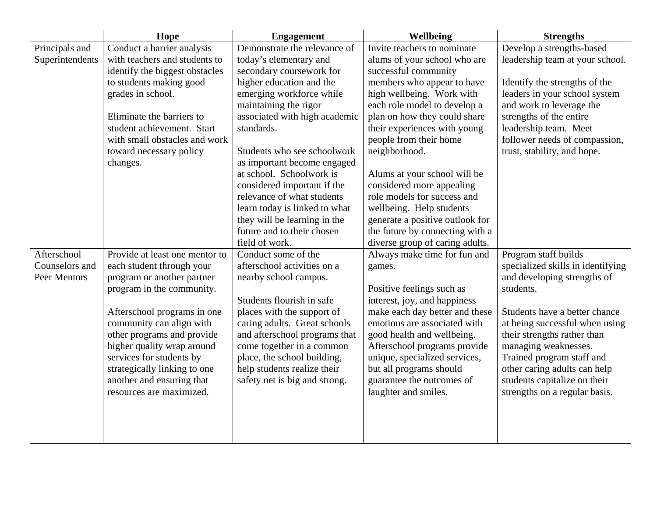|                                | Hope                                                    | <b>Engagement</b>                                          | Wellbeing                                                      | <b>Strengths</b>                         |
|--------------------------------|---------------------------------------------------------|------------------------------------------------------------|----------------------------------------------------------------|------------------------------------------|
| Principals and                 | Conduct a barrier analysis                              | Demonstrate the relevance of                               | Invite teachers to nominate                                    | Develop a strengths-based                |
| Superintendents                | with teachers and students to                           | today's elementary and                                     | alums of your school who are                                   | leadership team at your school.          |
|                                | identify the biggest obstacles                          | secondary coursework for                                   | successful community                                           |                                          |
|                                | to students making good                                 | higher education and the                                   | members who appear to have                                     | Identify the strengths of the            |
|                                | grades in school.                                       | emerging workforce while                                   | high wellbeing. Work with                                      | leaders in your school system            |
|                                |                                                         | maintaining the rigor                                      | each role model to develop a                                   | and work to leverage the                 |
|                                | Eliminate the barriers to                               | associated with high academic                              | plan on how they could share                                   | strengths of the entire                  |
|                                | student achievement. Start                              | standards.                                                 | their experiences with young                                   | leadership team. Meet                    |
|                                | with small obstacles and work                           |                                                            | people from their home                                         | follower needs of compassion,            |
|                                | toward necessary policy                                 | Students who see schoolwork                                | neighborhood.                                                  | trust, stability, and hope.              |
|                                | changes.                                                | as important become engaged                                |                                                                |                                          |
|                                |                                                         | at school. Schoolwork is                                   | Alums at your school will be                                   |                                          |
|                                |                                                         | considered important if the                                | considered more appealing                                      |                                          |
|                                |                                                         | relevance of what students                                 | role models for success and                                    |                                          |
|                                |                                                         | learn today is linked to what                              | wellbeing. Help students                                       |                                          |
|                                |                                                         | they will be learning in the                               | generate a positive outlook for                                |                                          |
|                                |                                                         | future and to their chosen                                 | the future by connecting with a                                |                                          |
|                                |                                                         | field of work.                                             | diverse group of caring adults.                                |                                          |
| Afterschool                    | Provide at least one mentor to                          | Conduct some of the                                        | Always make time for fun and                                   | Program staff builds                     |
| Counselors and<br>Peer Mentors | each student through your                               | afterschool activities on a                                | games.                                                         | specialized skills in identifying        |
|                                | program or another partner                              | nearby school campus.                                      |                                                                | and developing strengths of<br>students. |
|                                | program in the community.                               | Students flourish in safe                                  | Positive feelings such as                                      |                                          |
|                                |                                                         |                                                            | interest, joy, and happiness                                   | Students have a better chance            |
|                                | Afterschool programs in one<br>community can align with | places with the support of<br>caring adults. Great schools | make each day better and these<br>emotions are associated with | at being successful when using           |
|                                | other programs and provide                              | and afterschool programs that                              | good health and wellbeing.                                     | their strengths rather than              |
|                                | higher quality wrap around                              | come together in a common                                  | Afterschool programs provide                                   | managing weaknesses.                     |
|                                | services for students by                                | place, the school building,                                | unique, specialized services,                                  | Trained program staff and                |
|                                | strategically linking to one                            | help students realize their                                | but all programs should                                        | other caring adults can help             |
|                                | another and ensuring that                               | safety net is big and strong.                              | guarantee the outcomes of                                      | students capitalize on their             |
|                                | resources are maximized.                                |                                                            | laughter and smiles.                                           | strengths on a regular basis.            |
|                                |                                                         |                                                            |                                                                |                                          |
|                                |                                                         |                                                            |                                                                |                                          |
|                                |                                                         |                                                            |                                                                |                                          |
|                                |                                                         |                                                            |                                                                |                                          |